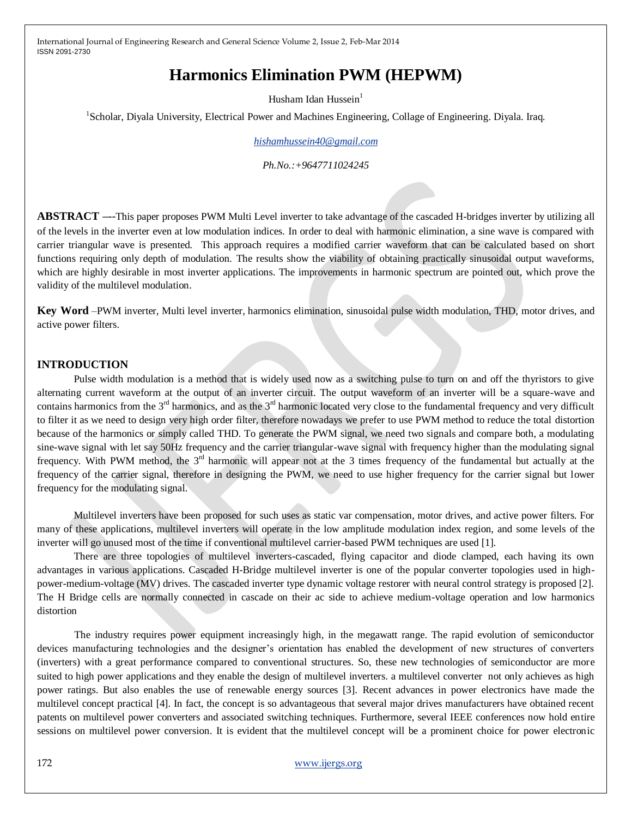# **Harmonics Elimination PWM (HEPWM)**

Husham Idan Hussein $<sup>1</sup>$ </sup>

<sup>1</sup>Scholar, Diyala University, Electrical Power and Machines Engineering, Collage of Engineering. Diyala. Iraq.

*[hishamhussein40@gmail.com](mailto:hishamhussein40@gmail.com)*

*Ph.No.:+9647711024245*

**ABSTRACT –**--This paper proposes PWM Multi Level inverter to take advantage of the cascaded H-bridges inverter by utilizing all of the levels in the inverter even at low modulation indices. In order to deal with harmonic elimination, a sine wave is compared with carrier triangular wave is presented. This approach requires a modified carrier waveform that can be calculated based on short functions requiring only depth of modulation. The results show the viability of obtaining practically sinusoidal output waveforms, which are highly desirable in most inverter applications. The improvements in harmonic spectrum are pointed out, which prove the validity of the multilevel modulation.

**Key Word** –PWM inverter, Multi level inverter, harmonics elimination, sinusoidal pulse width modulation, THD, motor drives, and active power filters.

#### **INTRODUCTION**

Pulse width modulation is a method that is widely used now as a switching pulse to turn on and off the thyristors to give alternating current waveform at the output of an inverter circuit. The output waveform of an inverter will be a square-wave and contains harmonics from the  $3<sup>rd</sup>$  harmonics, and as the  $3<sup>rd</sup>$  harmonic located very close to the fundamental frequency and very difficult to filter it as we need to design very high order filter, therefore nowadays we prefer to use PWM method to reduce the total distortion because of the harmonics or simply called THD. To generate the PWM signal, we need two signals and compare both, a modulating sine-wave signal with let say 50Hz frequency and the carrier triangular-wave signal with frequency higher than the modulating signal frequency. With PWM method, the  $3<sup>rd</sup>$  harmonic will appear not at the 3 times frequency of the fundamental but actually at the frequency of the carrier signal, therefore in designing the PWM, we need to use higher frequency for the carrier signal but lower frequency for the modulating signal.

Multilevel inverters have been proposed for such uses as static var compensation, motor drives, and active power filters. For many of these applications, multilevel inverters will operate in the low amplitude modulation index region, and some levels of the inverter will go unused most of the time if conventional multilevel carrier-based PWM techniques are used [1].

There are three topologies of multilevel inverters-cascaded, flying capacitor and diode clamped, each having its own advantages in various applications. Cascaded H-Bridge multilevel inverter is one of the popular converter topologies used in highpower-medium-voltage (MV) drives. The cascaded inverter type dynamic voltage restorer with neural control strategy is proposed [2]. The H Bridge cells are normally connected in cascade on their ac side to achieve medium-voltage operation and low harmonics distortion

The industry requires power equipment increasingly high, in the megawatt range. The rapid evolution of semiconductor devices manufacturing technologies and the designer's orientation has enabled the development of new structures of converters (inverters) with a great performance compared to conventional structures. So, these new technologies of semiconductor are more suited to high power applications and they enable the design of multilevel inverters. a multilevel converter not only achieves as high power ratings. But also enables the use of renewable energy sources [3]. Recent advances in power electronics have made the multilevel concept practical [4]. In fact, the concept is so advantageous that several major drives manufacturers have obtained recent patents on multilevel power converters and associated switching techniques. Furthermore, several IEEE conferences now hold entire sessions on multilevel power conversion. It is evident that the multilevel concept will be a prominent choice for power electronic

#### 172 [www.ijergs.org](http://www.ijergs.org/)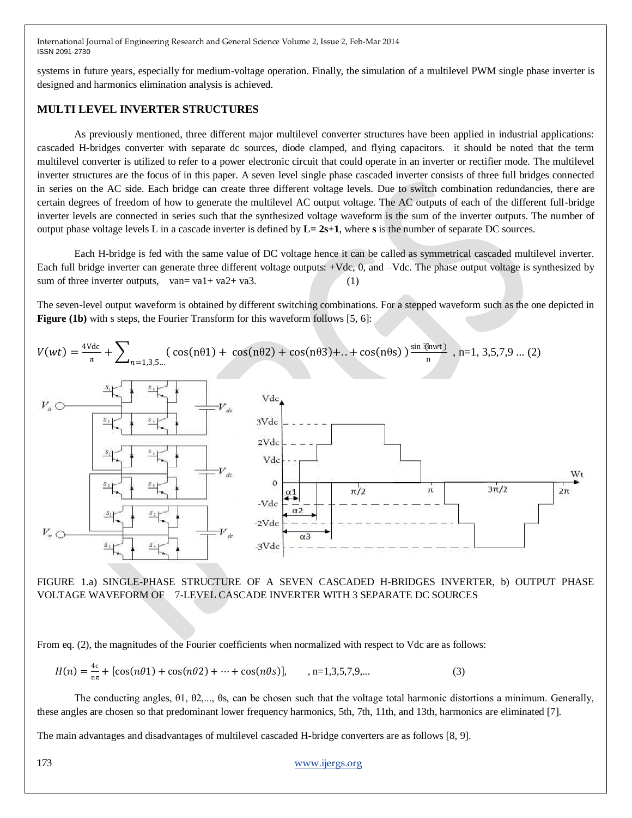systems in future years, especially for medium-voltage operation. Finally, the simulation of a multilevel PWM single phase inverter is designed and harmonics elimination analysis is achieved.

#### **MULTI LEVEL INVERTER STRUCTURES**

As previously mentioned, three different major multilevel converter structures have been applied in industrial applications: cascaded H-bridges converter with separate dc sources, diode clamped, and flying capacitors. it should be noted that the term multilevel converter is utilized to refer to a power electronic circuit that could operate in an inverter or rectifier mode. The multilevel inverter structures are the focus of in this paper. A seven level single phase cascaded inverter consists of three full bridges connected in series on the AC side. Each bridge can create three different voltage levels. Due to switch combination redundancies, there are certain degrees of freedom of how to generate the multilevel AC output voltage. The AC outputs of each of the different full-bridge inverter levels are connected in series such that the synthesized voltage waveform is the sum of the inverter outputs. The number of output phase voltage levels L in a cascade inverter is defined by  $L = 2s+1$ , where s is the number of separate DC sources.

Each H-bridge is fed with the same value of DC voltage hence it can be called as symmetrical cascaded multilevel inverter. Each full bridge inverter can generate three different voltage outputs: +Vdc, 0, and –Vdc. The phase output voltage is synthesized by sum of three inverter outputs, van= va1+ va2+ va3. (1)

The seven-level output waveform is obtained by different switching combinations. For a stepped waveform such as the one depicted in **Figure (1b)** with s steps, the Fourier Transform for this waveform follows [5, 6]:



FIGURE 1.a) SINGLE-PHASE STRUCTURE OF A SEVEN CASCADED H-BRIDGES INVERTER, b) OUTPUT PHASE VOLTAGE WAVEFORM OF 7-LEVEL CASCADE INVERTER WITH 3 SEPARATE DC SOURCES

From eq. (2), the magnitudes of the Fourier coefficients when normalized with respect to Vdc are as follows:

$$
H(n) = \frac{4c}{n\pi} + [\cos(n\theta 1) + \cos(n\theta 2) + \dots + \cos(n\theta s)], \qquad , n = 1,3,5,7,9,\dots
$$
 (3)

The conducting angles, θ1, θ2,..., θs, can be chosen such that the voltage total harmonic distortions a minimum. Generally, these angles are chosen so that predominant lower frequency harmonics, 5th, 7th, 11th, and 13th, harmonics are eliminated [7].

The main advantages and disadvantages of multilevel cascaded H-bridge converters are as follows [8, 9].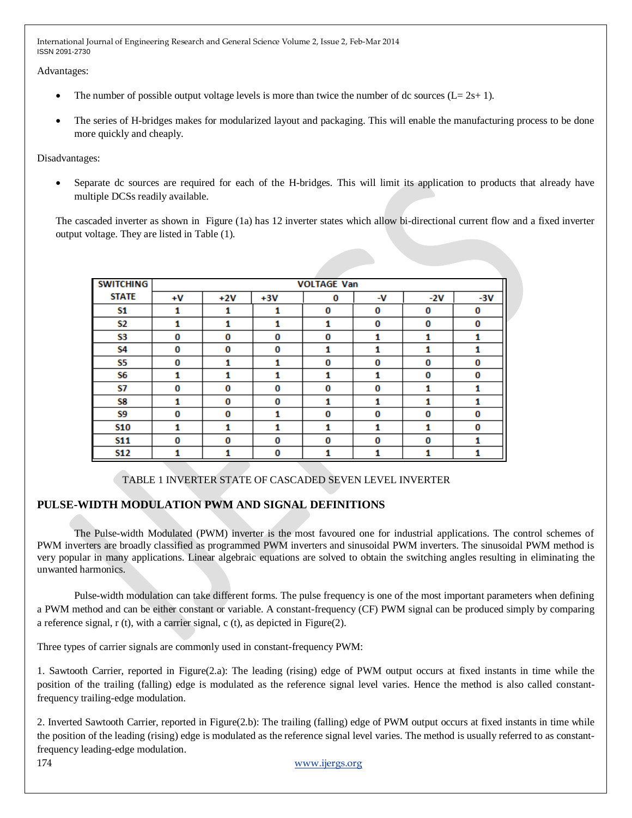Advantages:

- The number of possible output voltage levels is more than twice the number of dc sources  $(L= 2s+ 1)$ .
- The series of H-bridges makes for modularized layout and packaging. This will enable the manufacturing process to be done more quickly and cheaply.

Disadvantages:

 Separate dc sources are required for each of the H-bridges. This will limit its application to products that already have multiple DCSs readily available.

The cascaded inverter as shown in Figure (1a) has 12 inverter states which allow bi-directional current flow and a fixed inverter output voltage. They are listed in Table (1).

| <b>SWITCHING</b> | <b>VOLTAGE Van</b> |       |       |   |    |       |       |
|------------------|--------------------|-------|-------|---|----|-------|-------|
| <b>STATE</b>     |                    |       |       |   |    |       |       |
|                  | $+V$               | $+2V$ | $+3V$ | 0 | -V | $-2V$ | $-3V$ |
| S1               | 1                  | 1     | 1     | 0 | 0  | 0     | 0     |
| <b>S2</b>        | 1                  | 1     | 1     | 1 | 0  | 0     | 0     |
| S3               | 0                  | 0     | 0     | 0 | 1  | 1     | 1     |
| S4               | 0                  | 0     | 0     | 1 | 1  | 1     | 1     |
| S5               | 0                  |       |       | 0 | 0  | 0     | 0     |
| S6               | 1                  | 1     | 1     | 1 | 1  | 0     | 0     |
| S7               | 0                  | 0     | 0     | 0 | 0  | 1     | 1     |
| S8               | 1                  | 0     | 0     | 1 | 1  | 1     | 1     |
| S9               | 0                  | 0     | 1     | 0 | 0  | o     | 0     |
| S10              | 1                  | 1     | 1     | 1 | 1  | 1     | 0     |
| <b>S11</b>       | 0                  | 0     | 0     | 0 | 0  | 0     | 1     |
| <b>S12</b>       |                    |       | 0     |   | 1  | 1     | 1     |

# TABLE 1 INVERTER STATE OF CASCADED SEVEN LEVEL INVERTER

# **PULSE-WIDTH MODULATION PWM AND SIGNAL DEFINITIONS**

The Pulse-width Modulated (PWM) inverter is the most favoured one for industrial applications. The control schemes of PWM inverters are broadly classified as programmed PWM inverters and sinusoidal PWM inverters. The sinusoidal PWM method is very popular in many applications. Linear algebraic equations are solved to obtain the switching angles resulting in eliminating the unwanted harmonics.

Pulse-width modulation can take different forms. The pulse frequency is one of the most important parameters when defining a PWM method and can be either constant or variable. A constant-frequency (CF) PWM signal can be produced simply by comparing a reference signal, r (t), with a carrier signal, c (t), as depicted in Figure(2).

Three types of carrier signals are commonly used in constant-frequency PWM:

1. Sawtooth Carrier, reported in Figure(2.a): The leading (rising) edge of PWM output occurs at fixed instants in time while the position of the trailing (falling) edge is modulated as the reference signal level varies. Hence the method is also called constantfrequency trailing-edge modulation.

2. Inverted Sawtooth Carrier, reported in Figure(2.b): The trailing (falling) edge of PWM output occurs at fixed instants in time while the position of the leading (rising) edge is modulated as the reference signal level varies. The method is usually referred to as constantfrequency leading-edge modulation.

174 [www.ijergs.org](http://www.ijergs.org/)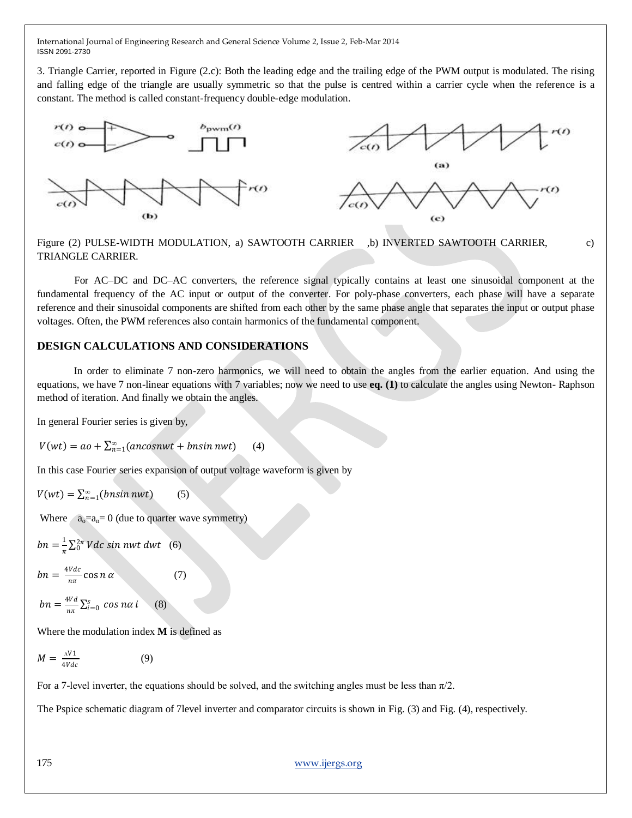3. Triangle Carrier, reported in Figure (2.c): Both the leading edge and the trailing edge of the PWM output is modulated. The rising and falling edge of the triangle are usually symmetric so that the pulse is centred within a carrier cycle when the reference is a constant. The method is called constant-frequency double-edge modulation.



Figure (2) PULSE-WIDTH MODULATION, a) SAWTOOTH CARRIER ,b) INVERTED SAWTOOTH CARRIER, c) TRIANGLE CARRIER.

For AC–DC and DC–AC converters, the reference signal typically contains at least one sinusoidal component at the fundamental frequency of the AC input or output of the converter. For poly-phase converters, each phase will have a separate reference and their sinusoidal components are shifted from each other by the same phase angle that separates the input or output phase voltages. Often, the PWM references also contain harmonics of the fundamental component.

#### **DESIGN CALCULATIONS AND CONSIDERATIONS**

In order to eliminate 7 non-zero harmonics, we will need to obtain the angles from the earlier equation. And using the equations, we have 7 non-linear equations with 7 variables; now we need to use **eq. (1)** to calculate the angles using Newton- Raphson method of iteration. And finally we obtain the angles.

In general Fourier series is given by,

 $V(wt) = ao + \sum_{n=1}^{\infty} (ancosnwt + bnsinnwt)$ (4)

In this case Fourier series expansion of output voltage waveform is given by

$$
V(wt) = \sum_{n=1}^{\infty} (bnsin nwt)
$$
 (5)

Where  $a_0=a_n=0$  (due to quarter wave symmetry)

 $bn = \frac{1}{n}$  $\frac{1}{\pi}\sum_{0}^{2\pi} Vdc$  sin nwt dwt (6)

$$
bn = \frac{4Vdc}{n\pi} \cos n \alpha \tag{7}
$$

$$
bn = \frac{4Vd}{n\pi} \sum_{i=0}^{s} \cos n\alpha i \qquad (8)
$$

Where the modulation index **M** is defined as

$$
M = \frac{\Delta V1}{4Vdc} \tag{9}
$$

For a 7-level inverter, the equations should be solved, and the switching angles must be less than  $\pi/2$ .

The Pspice schematic diagram of 7level inverter and comparator circuits is shown in Fig. (3) and Fig. (4), respectively.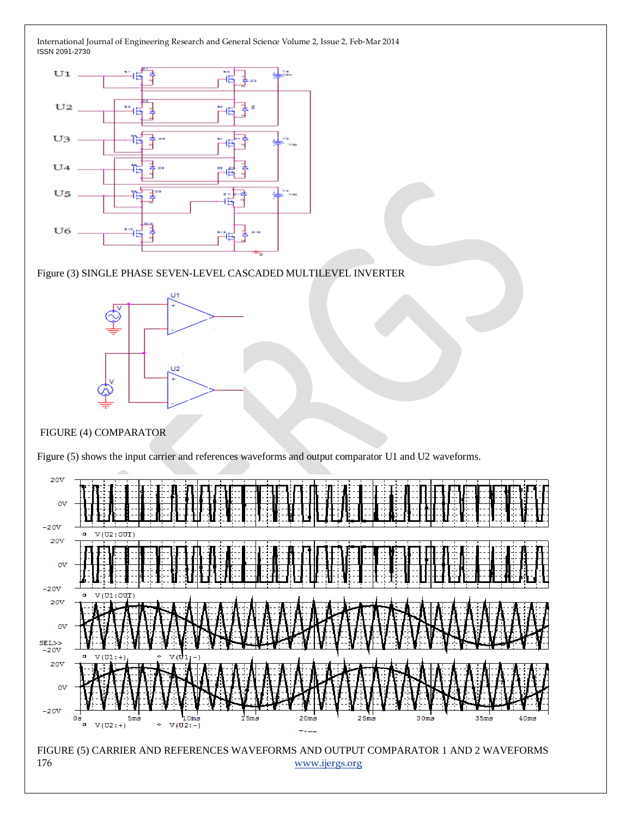

Figure (3) SINGLE PHASE SEVEN-LEVEL CASCADED MULTILEVEL INVERTER



## FIGURE (4) COMPARATOR



Figure (5) shows the input carrier and references waveforms and output comparator U1 and U2 waveforms.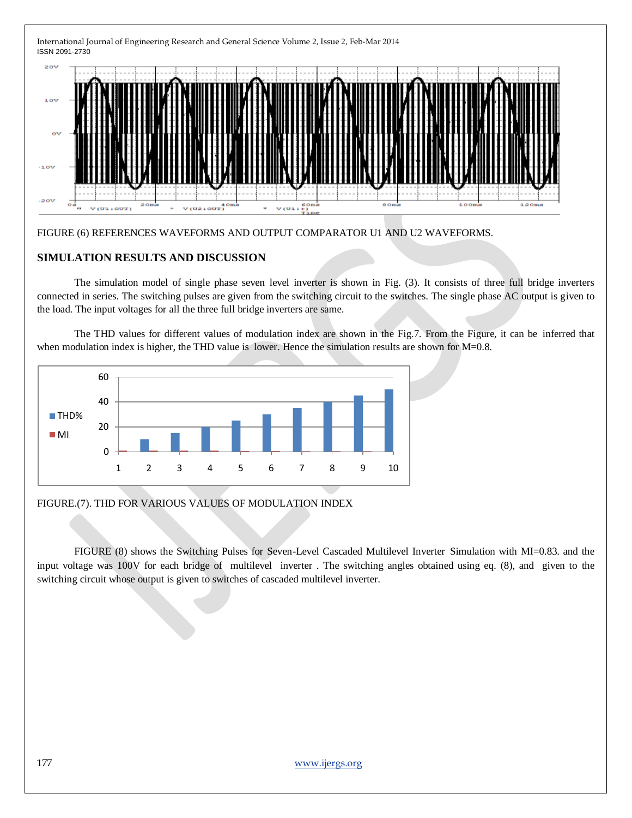International Journal of Engineering Research and General Science Volume 2, Issue 2, Feb-Mar 2014 ISSN 2091-2730  $20V$  $-1.0V$  $20V$ o.  $201$  $v(02100T)$ <sup>40</sup> V (U1 : OUT)  $V(01)$ 

## FIGURE (6) REFERENCES WAVEFORMS AND OUTPUT COMPARATOR U1 AND U2 WAVEFORMS.

## **SIMULATION RESULTS AND DISCUSSION**

The simulation model of single phase seven level inverter is shown in Fig. (3). It consists of three full bridge inverters connected in series. The switching pulses are given from the switching circuit to the switches. The single phase AC output is given to the load. The input voltages for all the three full bridge inverters are same.

The THD values for different values of modulation index are shown in the Fig.7. From the Figure, it can be inferred that when modulation index is higher, the THD value is lower. Hence the simulation results are shown for M=0.8.



#### FIGURE.(7). THD FOR VARIOUS VALUES OF MODULATION INDEX

FIGURE (8) shows the Switching Pulses for Seven-Level Cascaded Multilevel Inverter Simulation with MI=0.83. and the input voltage was 100V for each bridge of multilevel inverter . The switching angles obtained using eq. (8), and given to the switching circuit whose output is given to switches of cascaded multilevel inverter.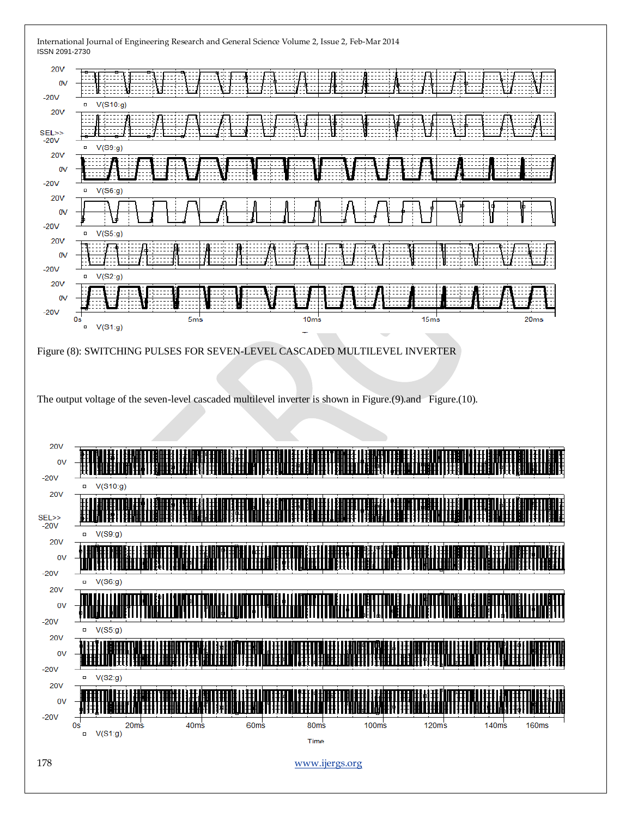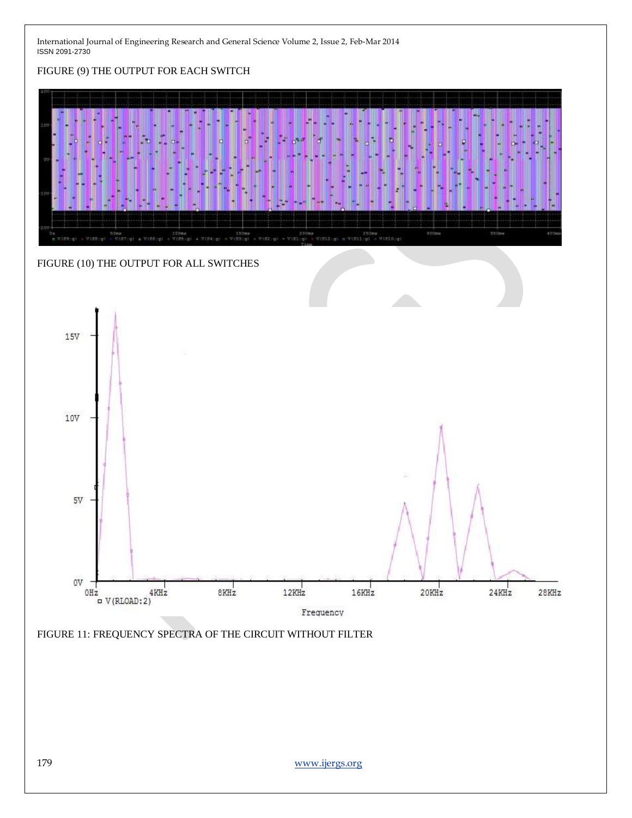# FIGURE (9) THE OUTPUT FOR EACH SWITCH



# FIGURE (10) THE OUTPUT FOR ALL SWITCHES



FIGURE 11: FREQUENCY SPECTRA OF THE CIRCUIT WITHOUT FILTER

179 [www.ijergs.org](http://www.ijergs.org/)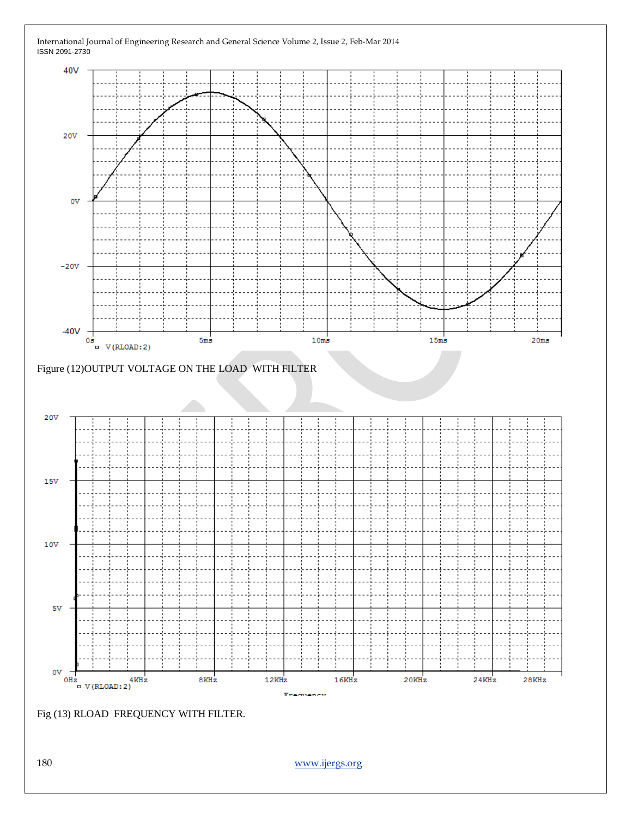





40V

20V